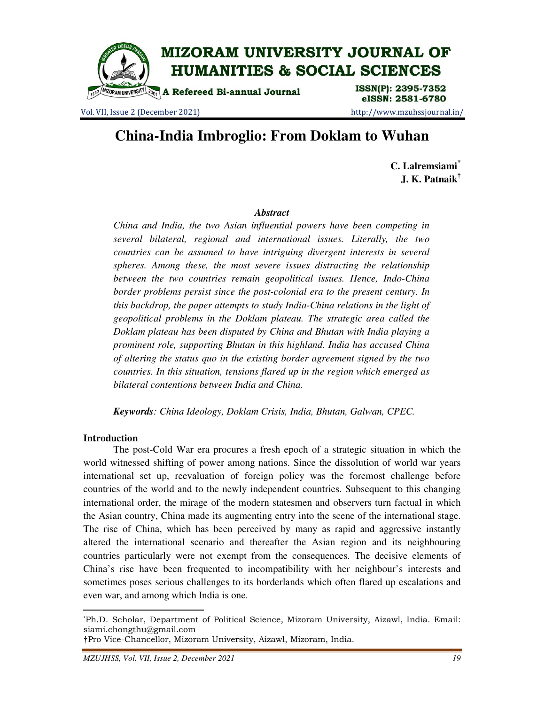

Vol. VII, Issue 2 (December 2021) http://www.mzuhssjournal.in/

eISSN: 2581-6780

# **China-India Imbroglio: From Doklam to Wuhan**

**C. Lalremsiami\* J. K. Patnaik†**

#### *Abstract*

*China and India, the two Asian influential powers have been competing in several bilateral, regional and international issues. Literally, the two countries can be assumed to have intriguing divergent interests in several spheres. Among these, the most severe issues distracting the relationship between the two countries remain geopolitical issues. Hence, Indo-China border problems persist since the post-colonial era to the present century. In this backdrop, the paper attempts to study India-China relations in the light of geopolitical problems in the Doklam plateau. The strategic area called the Doklam plateau has been disputed by China and Bhutan with India playing a prominent role, supporting Bhutan in this highland. India has accused China of altering the status quo in the existing border agreement signed by the two countries. In this situation, tensions flared up in the region which emerged as bilateral contentions between India and China.* 

*Keywords: China Ideology, Doklam Crisis, India, Bhutan, Galwan, CPEC.* 

#### **Introduction**

 $\overline{a}$ 

 The post-Cold War era procures a fresh epoch of a strategic situation in which the world witnessed shifting of power among nations. Since the dissolution of world war years international set up, reevaluation of foreign policy was the foremost challenge before countries of the world and to the newly independent countries. Subsequent to this changing international order, the mirage of the modern statesmen and observers turn factual in which the Asian country, China made its augmenting entry into the scene of the international stage. The rise of China, which has been perceived by many as rapid and aggressive instantly altered the international scenario and thereafter the Asian region and its neighbouring countries particularly were not exempt from the consequences. The decisive elements of China's rise have been frequented to incompatibility with her neighbour's interests and sometimes poses serious challenges to its borderlands which often flared up escalations and even war, and among which India is one.

<sup>\*</sup>Ph.D. Scholar, Department of Political Science, Mizoram University, Aizawl, India. Email: siami.chongthu@gmail.com

<sup>†</sup>Pro Vice-Chancellor, Mizoram University, Aizawl, Mizoram, India.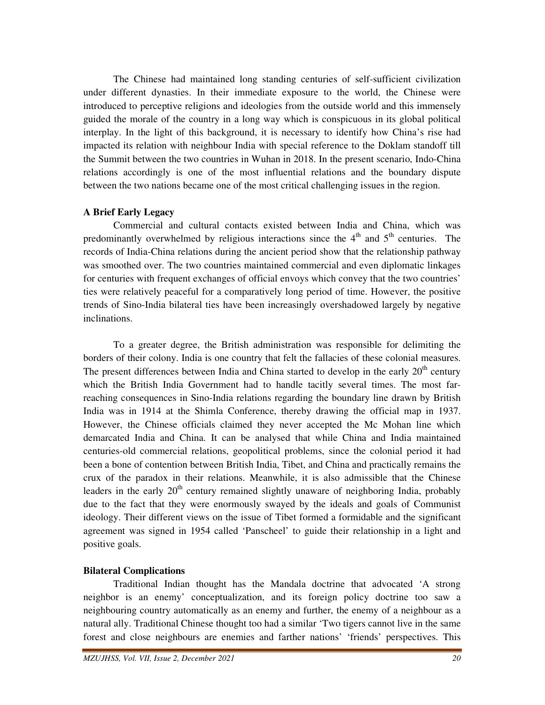The Chinese had maintained long standing centuries of self-sufficient civilization under different dynasties. In their immediate exposure to the world, the Chinese were introduced to perceptive religions and ideologies from the outside world and this immensely guided the morale of the country in a long way which is conspicuous in its global political interplay. In the light of this background, it is necessary to identify how China's rise had impacted its relation with neighbour India with special reference to the Doklam standoff till the Summit between the two countries in Wuhan in 2018. In the present scenario, Indo-China relations accordingly is one of the most influential relations and the boundary dispute between the two nations became one of the most critical challenging issues in the region.

## **A Brief Early Legacy**

 Commercial and cultural contacts existed between India and China, which was predominantly overwhelmed by religious interactions since the  $4<sup>th</sup>$  and  $5<sup>th</sup>$  centuries. The records of India-China relations during the ancient period show that the relationship pathway was smoothed over. The two countries maintained commercial and even diplomatic linkages for centuries with frequent exchanges of official envoys which convey that the two countries' ties were relatively peaceful for a comparatively long period of time. However, the positive trends of Sino-India bilateral ties have been increasingly overshadowed largely by negative inclinations.

 To a greater degree, the British administration was responsible for delimiting the borders of their colony. India is one country that felt the fallacies of these colonial measures. The present differences between India and China started to develop in the early  $20<sup>th</sup>$  century which the British India Government had to handle tacitly several times. The most farreaching consequences in Sino-India relations regarding the boundary line drawn by British India was in 1914 at the Shimla Conference, thereby drawing the official map in 1937. However, the Chinese officials claimed they never accepted the Mc Mohan line which demarcated India and China. It can be analysed that while China and India maintained centuries-old commercial relations, geopolitical problems, since the colonial period it had been a bone of contention between British India, Tibet, and China and practically remains the crux of the paradox in their relations. Meanwhile, it is also admissible that the Chinese leaders in the early  $20<sup>th</sup>$  century remained slightly unaware of neighboring India, probably due to the fact that they were enormously swayed by the ideals and goals of Communist ideology. Their different views on the issue of Tibet formed a formidable and the significant agreement was signed in 1954 called 'Panscheel' to guide their relationship in a light and positive goals.

# **Bilateral Complications**

 Traditional Indian thought has the Mandala doctrine that advocated 'A strong neighbor is an enemy' conceptualization, and its foreign policy doctrine too saw a neighbouring country automatically as an enemy and further, the enemy of a neighbour as a natural ally. Traditional Chinese thought too had a similar 'Two tigers cannot live in the same forest and close neighbours are enemies and farther nations' 'friends' perspectives. This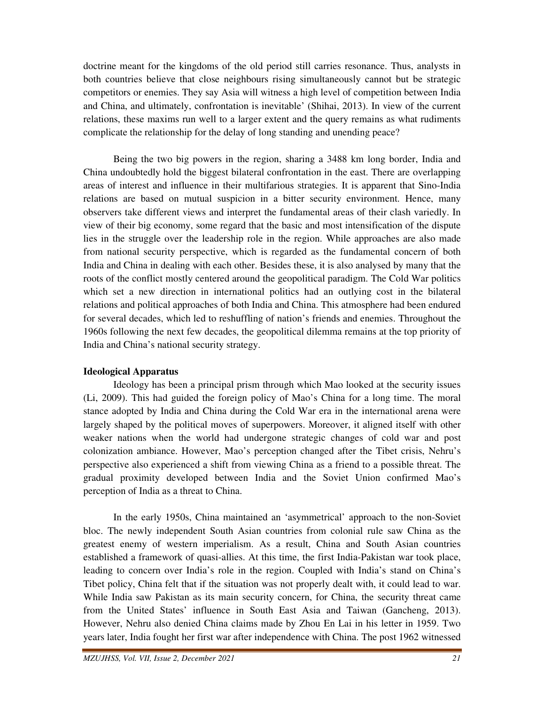doctrine meant for the kingdoms of the old period still carries resonance. Thus, analysts in both countries believe that close neighbours rising simultaneously cannot but be strategic competitors or enemies. They say Asia will witness a high level of competition between India and China, and ultimately, confrontation is inevitable' (Shihai, 2013). In view of the current relations, these maxims run well to a larger extent and the query remains as what rudiments complicate the relationship for the delay of long standing and unending peace?

 Being the two big powers in the region, sharing a 3488 km long border, India and China undoubtedly hold the biggest bilateral confrontation in the east. There are overlapping areas of interest and influence in their multifarious strategies. It is apparent that Sino-India relations are based on mutual suspicion in a bitter security environment. Hence, many observers take different views and interpret the fundamental areas of their clash variedly. In view of their big economy, some regard that the basic and most intensification of the dispute lies in the struggle over the leadership role in the region. While approaches are also made from national security perspective, which is regarded as the fundamental concern of both India and China in dealing with each other. Besides these, it is also analysed by many that the roots of the conflict mostly centered around the geopolitical paradigm. The Cold War politics which set a new direction in international politics had an outlying cost in the bilateral relations and political approaches of both India and China. This atmosphere had been endured for several decades, which led to reshuffling of nation's friends and enemies. Throughout the 1960s following the next few decades, the geopolitical dilemma remains at the top priority of India and China's national security strategy.

# **Ideological Apparatus**

 Ideology has been a principal prism through which Mao looked at the security issues (Li, 2009). This had guided the foreign policy of Mao's China for a long time. The moral stance adopted by India and China during the Cold War era in the international arena were largely shaped by the political moves of superpowers. Moreover, it aligned itself with other weaker nations when the world had undergone strategic changes of cold war and post colonization ambiance. However, Mao's perception changed after the Tibet crisis, Nehru's perspective also experienced a shift from viewing China as a friend to a possible threat. The gradual proximity developed between India and the Soviet Union confirmed Mao's perception of India as a threat to China.

 In the early 1950s, China maintained an 'asymmetrical' approach to the non-Soviet bloc. The newly independent South Asian countries from colonial rule saw China as the greatest enemy of western imperialism. As a result, China and South Asian countries established a framework of quasi-allies. At this time, the first India-Pakistan war took place, leading to concern over India's role in the region. Coupled with India's stand on China's Tibet policy, China felt that if the situation was not properly dealt with, it could lead to war. While India saw Pakistan as its main security concern, for China, the security threat came from the United States' influence in South East Asia and Taiwan (Gancheng, 2013). However, Nehru also denied China claims made by Zhou En Lai in his letter in 1959. Two years later, India fought her first war after independence with China. The post 1962 witnessed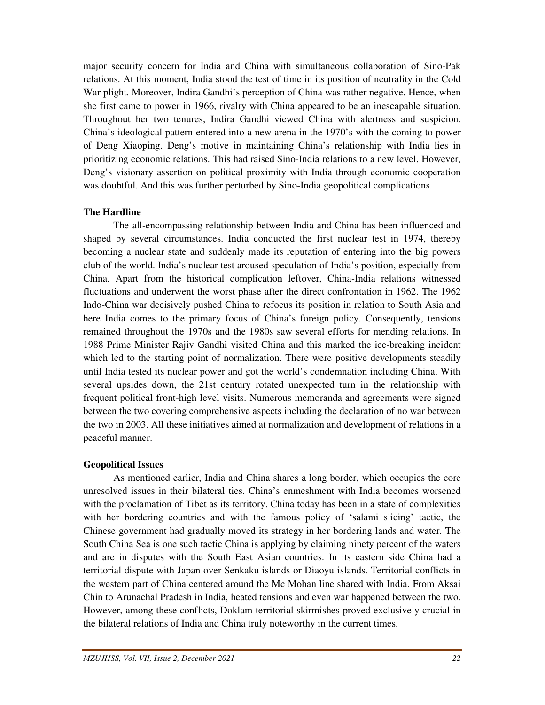major security concern for India and China with simultaneous collaboration of Sino-Pak relations. At this moment, India stood the test of time in its position of neutrality in the Cold War plight. Moreover, Indira Gandhi's perception of China was rather negative. Hence, when she first came to power in 1966, rivalry with China appeared to be an inescapable situation. Throughout her two tenures, Indira Gandhi viewed China with alertness and suspicion. China's ideological pattern entered into a new arena in the 1970's with the coming to power of Deng Xiaoping. Deng's motive in maintaining China's relationship with India lies in prioritizing economic relations. This had raised Sino-India relations to a new level. However, Deng's visionary assertion on political proximity with India through economic cooperation was doubtful. And this was further perturbed by Sino-India geopolitical complications.

#### **The Hardline**

 The all-encompassing relationship between India and China has been influenced and shaped by several circumstances. India conducted the first nuclear test in 1974, thereby becoming a nuclear state and suddenly made its reputation of entering into the big powers club of the world. India's nuclear test aroused speculation of India's position, especially from China. Apart from the historical complication leftover, China-India relations witnessed fluctuations and underwent the worst phase after the direct confrontation in 1962. The 1962 Indo-China war decisively pushed China to refocus its position in relation to South Asia and here India comes to the primary focus of China's foreign policy. Consequently, tensions remained throughout the 1970s and the 1980s saw several efforts for mending relations. In 1988 Prime Minister Rajiv Gandhi visited China and this marked the ice-breaking incident which led to the starting point of normalization. There were positive developments steadily until India tested its nuclear power and got the world's condemnation including China. With several upsides down, the 21st century rotated unexpected turn in the relationship with frequent political front-high level visits. Numerous memoranda and agreements were signed between the two covering comprehensive aspects including the declaration of no war between the two in 2003. All these initiatives aimed at normalization and development of relations in a peaceful manner.

#### **Geopolitical Issues**

 As mentioned earlier, India and China shares a long border, which occupies the core unresolved issues in their bilateral ties. China's enmeshment with India becomes worsened with the proclamation of Tibet as its territory. China today has been in a state of complexities with her bordering countries and with the famous policy of 'salami slicing' tactic, the Chinese government had gradually moved its strategy in her bordering lands and water. The South China Sea is one such tactic China is applying by claiming ninety percent of the waters and are in disputes with the South East Asian countries. In its eastern side China had a territorial dispute with Japan over Senkaku islands or Diaoyu islands. Territorial conflicts in the western part of China centered around the Mc Mohan line shared with India. From Aksai Chin to Arunachal Pradesh in India, heated tensions and even war happened between the two. However, among these conflicts, Doklam territorial skirmishes proved exclusively crucial in the bilateral relations of India and China truly noteworthy in the current times.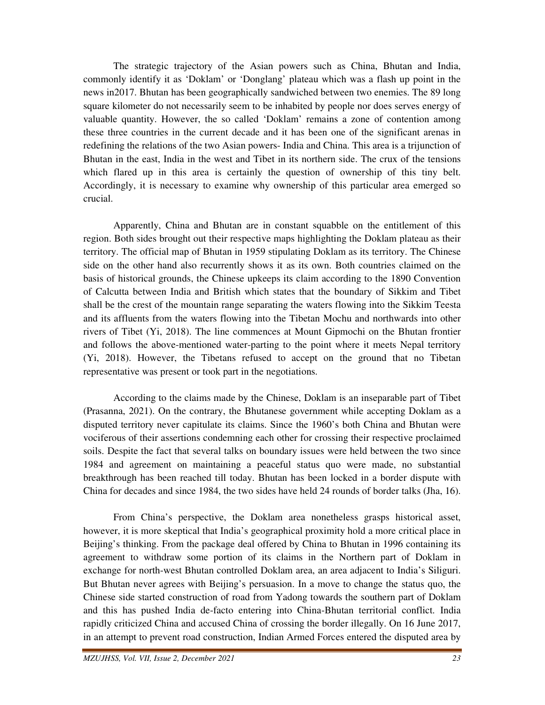The strategic trajectory of the Asian powers such as China, Bhutan and India, commonly identify it as 'Doklam' or 'Donglang' plateau which was a flash up point in the news in2017. Bhutan has been geographically sandwiched between two enemies. The 89 long square kilometer do not necessarily seem to be inhabited by people nor does serves energy of valuable quantity. However, the so called 'Doklam' remains a zone of contention among these three countries in the current decade and it has been one of the significant arenas in redefining the relations of the two Asian powers- India and China. This area is a trijunction of Bhutan in the east, India in the west and Tibet in its northern side. The crux of the tensions which flared up in this area is certainly the question of ownership of this tiny belt. Accordingly, it is necessary to examine why ownership of this particular area emerged so crucial.

 Apparently, China and Bhutan are in constant squabble on the entitlement of this region. Both sides brought out their respective maps highlighting the Doklam plateau as their territory. The official map of Bhutan in 1959 stipulating Doklam as its territory. The Chinese side on the other hand also recurrently shows it as its own. Both countries claimed on the basis of historical grounds, the Chinese upkeeps its claim according to the 1890 Convention of Calcutta between India and British which states that the boundary of Sikkim and Tibet shall be the crest of the mountain range separating the waters flowing into the Sikkim Teesta and its affluents from the waters flowing into the Tibetan Mochu and northwards into other rivers of Tibet (Yi, 2018). The line commences at Mount Gipmochi on the Bhutan frontier and follows the above-mentioned water-parting to the point where it meets Nepal territory (Yi, 2018). However, the Tibetans refused to accept on the ground that no Tibetan representative was present or took part in the negotiations.

 According to the claims made by the Chinese, Doklam is an inseparable part of Tibet (Prasanna, 2021). On the contrary, the Bhutanese government while accepting Doklam as a disputed territory never capitulate its claims. Since the 1960's both China and Bhutan were vociferous of their assertions condemning each other for crossing their respective proclaimed soils. Despite the fact that several talks on boundary issues were held between the two since 1984 and agreement on maintaining a peaceful status quo were made, no substantial breakthrough has been reached till today. Bhutan has been locked in a border dispute with China for decades and since 1984, the two sides have held 24 rounds of border talks (Jha, 16).

 From China's perspective, the Doklam area nonetheless grasps historical asset, however, it is more skeptical that India's geographical proximity hold a more critical place in Beijing's thinking. From the package deal offered by China to Bhutan in 1996 containing its agreement to withdraw some portion of its claims in the Northern part of Doklam in exchange for north-west Bhutan controlled Doklam area, an area adjacent to India's Siliguri. But Bhutan never agrees with Beijing's persuasion. In a move to change the status quo, the Chinese side started construction of road from Yadong towards the southern part of Doklam and this has pushed India de-facto entering into China-Bhutan territorial conflict. India rapidly criticized China and accused China of crossing the border illegally. On 16 June 2017, in an attempt to prevent road construction, Indian Armed Forces entered the disputed area by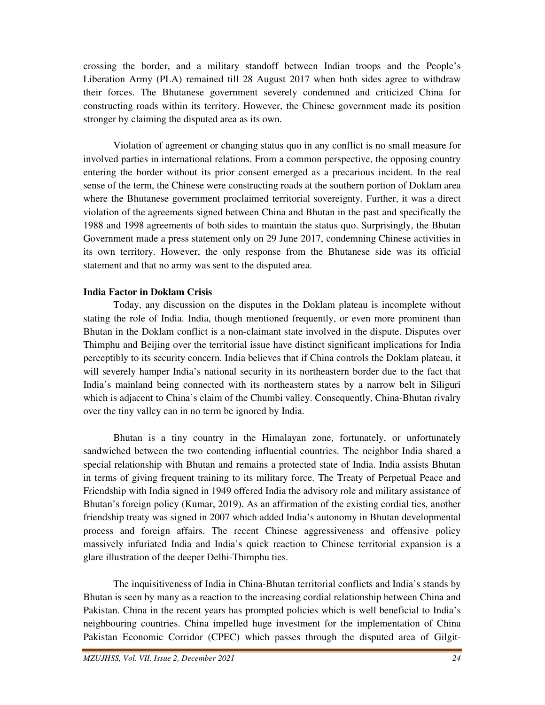crossing the border, and a military standoff between Indian troops and the People's Liberation Army (PLA) remained till 28 August 2017 when both sides agree to withdraw their forces. The Bhutanese government severely condemned and criticized China for constructing roads within its territory. However, the Chinese government made its position stronger by claiming the disputed area as its own.

 Violation of agreement or changing status quo in any conflict is no small measure for involved parties in international relations. From a common perspective, the opposing country entering the border without its prior consent emerged as a precarious incident. In the real sense of the term, the Chinese were constructing roads at the southern portion of Doklam area where the Bhutanese government proclaimed territorial sovereignty. Further, it was a direct violation of the agreements signed between China and Bhutan in the past and specifically the 1988 and 1998 agreements of both sides to maintain the status quo. Surprisingly, the Bhutan Government made a press statement only on 29 June 2017, condemning Chinese activities in its own territory. However, the only response from the Bhutanese side was its official statement and that no army was sent to the disputed area.

## **India Factor in Doklam Crisis**

 Today, any discussion on the disputes in the Doklam plateau is incomplete without stating the role of India. India, though mentioned frequently, or even more prominent than Bhutan in the Doklam conflict is a non-claimant state involved in the dispute. Disputes over Thimphu and Beijing over the territorial issue have distinct significant implications for India perceptibly to its security concern. India believes that if China controls the Doklam plateau, it will severely hamper India's national security in its northeastern border due to the fact that India's mainland being connected with its northeastern states by a narrow belt in Siliguri which is adjacent to China's claim of the Chumbi valley. Consequently, China-Bhutan rivalry over the tiny valley can in no term be ignored by India.

 Bhutan is a tiny country in the Himalayan zone, fortunately, or unfortunately sandwiched between the two contending influential countries. The neighbor India shared a special relationship with Bhutan and remains a protected state of India. India assists Bhutan in terms of giving frequent training to its military force. The Treaty of Perpetual Peace and Friendship with India signed in 1949 offered India the advisory role and military assistance of Bhutan's foreign policy (Kumar, 2019). As an affirmation of the existing cordial ties, another friendship treaty was signed in 2007 which added India's autonomy in Bhutan developmental process and foreign affairs. The recent Chinese aggressiveness and offensive policy massively infuriated India and India's quick reaction to Chinese territorial expansion is a glare illustration of the deeper Delhi-Thimphu ties.

 The inquisitiveness of India in China-Bhutan territorial conflicts and India's stands by Bhutan is seen by many as a reaction to the increasing cordial relationship between China and Pakistan. China in the recent years has prompted policies which is well beneficial to India's neighbouring countries. China impelled huge investment for the implementation of China Pakistan Economic Corridor (CPEC) which passes through the disputed area of Gilgit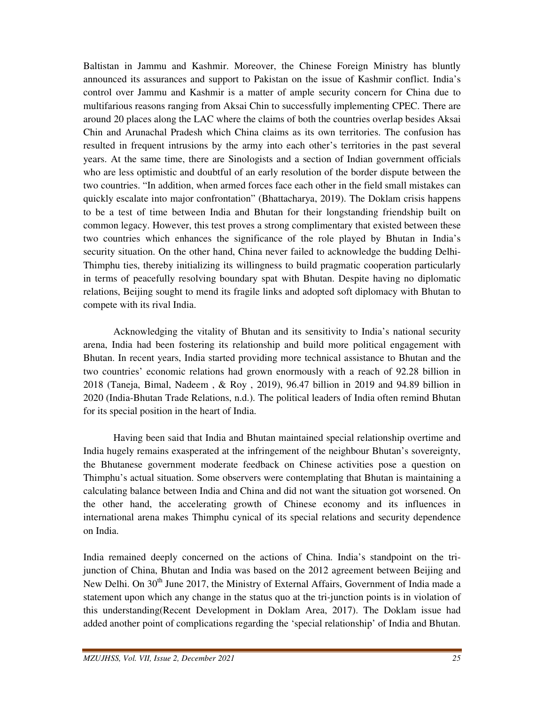Baltistan in Jammu and Kashmir. Moreover, the Chinese Foreign Ministry has bluntly announced its assurances and support to Pakistan on the issue of Kashmir conflict. India's control over Jammu and Kashmir is a matter of ample security concern for China due to multifarious reasons ranging from Aksai Chin to successfully implementing CPEC. There are around 20 places along the LAC where the claims of both the countries overlap besides Aksai Chin and Arunachal Pradesh which China claims as its own territories. The confusion has resulted in frequent intrusions by the army into each other's territories in the past several years. At the same time, there are Sinologists and a section of Indian government officials who are less optimistic and doubtful of an early resolution of the border dispute between the two countries. "In addition, when armed forces face each other in the field small mistakes can quickly escalate into major confrontation" (Bhattacharya, 2019). The Doklam crisis happens to be a test of time between India and Bhutan for their longstanding friendship built on common legacy. However, this test proves a strong complimentary that existed between these two countries which enhances the significance of the role played by Bhutan in India's security situation. On the other hand, China never failed to acknowledge the budding Delhi-Thimphu ties, thereby initializing its willingness to build pragmatic cooperation particularly in terms of peacefully resolving boundary spat with Bhutan. Despite having no diplomatic relations, Beijing sought to mend its fragile links and adopted soft diplomacy with Bhutan to compete with its rival India.

 Acknowledging the vitality of Bhutan and its sensitivity to India's national security arena, India had been fostering its relationship and build more political engagement with Bhutan. In recent years, India started providing more technical assistance to Bhutan and the two countries' economic relations had grown enormously with a reach of 92.28 billion in 2018 (Taneja, Bimal, Nadeem , & Roy , 2019), 96.47 billion in 2019 and 94.89 billion in 2020 (India-Bhutan Trade Relations, n.d.). The political leaders of India often remind Bhutan for its special position in the heart of India.

 Having been said that India and Bhutan maintained special relationship overtime and India hugely remains exasperated at the infringement of the neighbour Bhutan's sovereignty, the Bhutanese government moderate feedback on Chinese activities pose a question on Thimphu's actual situation. Some observers were contemplating that Bhutan is maintaining a calculating balance between India and China and did not want the situation got worsened. On the other hand, the accelerating growth of Chinese economy and its influences in international arena makes Thimphu cynical of its special relations and security dependence on India.

India remained deeply concerned on the actions of China. India's standpoint on the trijunction of China, Bhutan and India was based on the 2012 agreement between Beijing and New Delhi. On 30<sup>th</sup> June 2017, the Ministry of External Affairs, Government of India made a statement upon which any change in the status quo at the tri-junction points is in violation of this understanding(Recent Development in Doklam Area, 2017). The Doklam issue had added another point of complications regarding the 'special relationship' of India and Bhutan.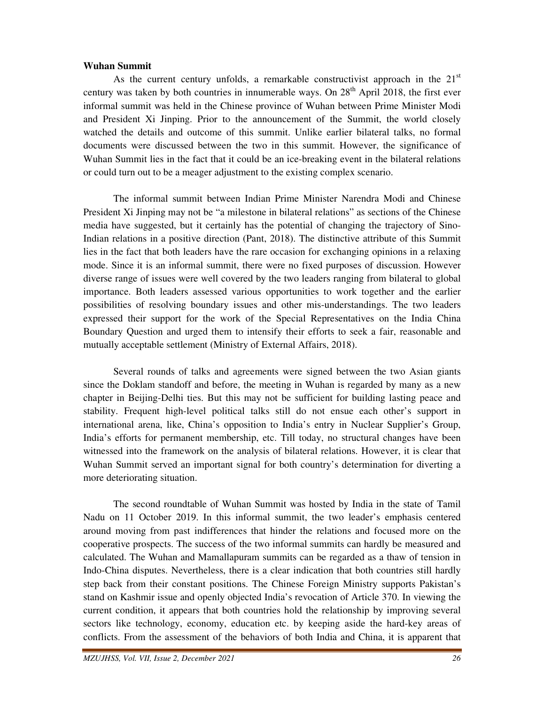#### **Wuhan Summit**

As the current century unfolds, a remarkable constructivist approach in the  $21<sup>st</sup>$ century was taken by both countries in innumerable ways. On  $28<sup>th</sup>$  April 2018, the first ever informal summit was held in the Chinese province of Wuhan between Prime Minister Modi and President Xi Jinping. Prior to the announcement of the Summit, the world closely watched the details and outcome of this summit. Unlike earlier bilateral talks, no formal documents were discussed between the two in this summit. However, the significance of Wuhan Summit lies in the fact that it could be an ice-breaking event in the bilateral relations or could turn out to be a meager adjustment to the existing complex scenario.

 The informal summit between Indian Prime Minister Narendra Modi and Chinese President Xi Jinping may not be "a milestone in bilateral relations" as sections of the Chinese media have suggested, but it certainly has the potential of changing the trajectory of Sino-Indian relations in a positive direction (Pant, 2018). The distinctive attribute of this Summit lies in the fact that both leaders have the rare occasion for exchanging opinions in a relaxing mode. Since it is an informal summit, there were no fixed purposes of discussion. However diverse range of issues were well covered by the two leaders ranging from bilateral to global importance. Both leaders assessed various opportunities to work together and the earlier possibilities of resolving boundary issues and other mis-understandings. The two leaders expressed their support for the work of the Special Representatives on the India China Boundary Question and urged them to intensify their efforts to seek a fair, reasonable and mutually acceptable settlement (Ministry of External Affairs, 2018).

 Several rounds of talks and agreements were signed between the two Asian giants since the Doklam standoff and before, the meeting in Wuhan is regarded by many as a new chapter in Beijing-Delhi ties. But this may not be sufficient for building lasting peace and stability. Frequent high-level political talks still do not ensue each other's support in international arena, like, China's opposition to India's entry in Nuclear Supplier's Group, India's efforts for permanent membership, etc. Till today, no structural changes have been witnessed into the framework on the analysis of bilateral relations. However, it is clear that Wuhan Summit served an important signal for both country's determination for diverting a more deteriorating situation.

 The second roundtable of Wuhan Summit was hosted by India in the state of Tamil Nadu on 11 October 2019. In this informal summit, the two leader's emphasis centered around moving from past indifferences that hinder the relations and focused more on the cooperative prospects. The success of the two informal summits can hardly be measured and calculated. The Wuhan and Mamallapuram summits can be regarded as a thaw of tension in Indo-China disputes. Nevertheless, there is a clear indication that both countries still hardly step back from their constant positions. The Chinese Foreign Ministry supports Pakistan's stand on Kashmir issue and openly objected India's revocation of Article 370. In viewing the current condition, it appears that both countries hold the relationship by improving several sectors like technology, economy, education etc. by keeping aside the hard-key areas of conflicts. From the assessment of the behaviors of both India and China, it is apparent that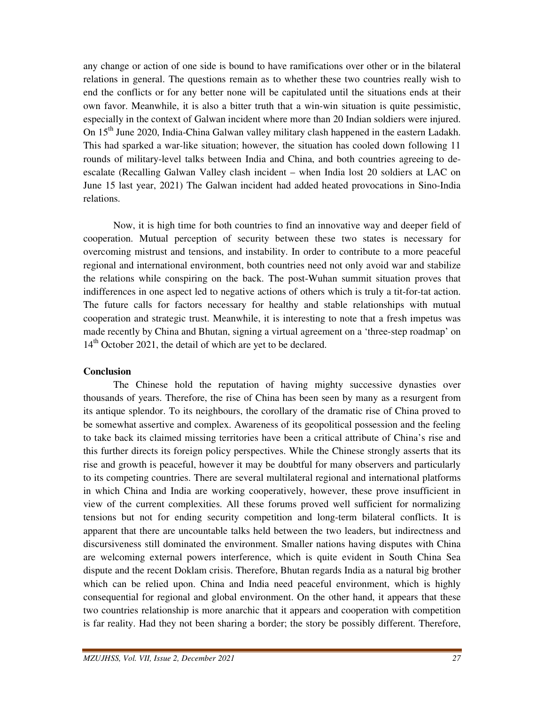any change or action of one side is bound to have ramifications over other or in the bilateral relations in general. The questions remain as to whether these two countries really wish to end the conflicts or for any better none will be capitulated until the situations ends at their own favor. Meanwhile, it is also a bitter truth that a win-win situation is quite pessimistic, especially in the context of Galwan incident where more than 20 Indian soldiers were injured. On 15<sup>th</sup> June 2020, India-China Galwan valley military clash happened in the eastern Ladakh. This had sparked a war-like situation; however, the situation has cooled down following 11 rounds of military-level talks between India and China, and both countries agreeing to deescalate (Recalling Galwan Valley clash incident – when India lost 20 soldiers at LAC on June 15 last year, 2021) The Galwan incident had added heated provocations in Sino-India relations.

 Now, it is high time for both countries to find an innovative way and deeper field of cooperation. Mutual perception of security between these two states is necessary for overcoming mistrust and tensions, and instability. In order to contribute to a more peaceful regional and international environment, both countries need not only avoid war and stabilize the relations while conspiring on the back. The post-Wuhan summit situation proves that indifferences in one aspect led to negative actions of others which is truly a tit-for-tat action. The future calls for factors necessary for healthy and stable relationships with mutual cooperation and strategic trust. Meanwhile, it is interesting to note that a fresh impetus was made recently by China and Bhutan, signing a virtual agreement on a 'three-step roadmap' on 14<sup>th</sup> October 2021, the detail of which are yet to be declared.

#### **Conclusion**

 The Chinese hold the reputation of having mighty successive dynasties over thousands of years. Therefore, the rise of China has been seen by many as a resurgent from its antique splendor. To its neighbours, the corollary of the dramatic rise of China proved to be somewhat assertive and complex. Awareness of its geopolitical possession and the feeling to take back its claimed missing territories have been a critical attribute of China's rise and this further directs its foreign policy perspectives. While the Chinese strongly asserts that its rise and growth is peaceful, however it may be doubtful for many observers and particularly to its competing countries. There are several multilateral regional and international platforms in which China and India are working cooperatively, however, these prove insufficient in view of the current complexities. All these forums proved well sufficient for normalizing tensions but not for ending security competition and long-term bilateral conflicts. It is apparent that there are uncountable talks held between the two leaders, but indirectness and discursiveness still dominated the environment. Smaller nations having disputes with China are welcoming external powers interference, which is quite evident in South China Sea dispute and the recent Doklam crisis. Therefore, Bhutan regards India as a natural big brother which can be relied upon. China and India need peaceful environment, which is highly consequential for regional and global environment. On the other hand, it appears that these two countries relationship is more anarchic that it appears and cooperation with competition is far reality. Had they not been sharing a border; the story be possibly different. Therefore,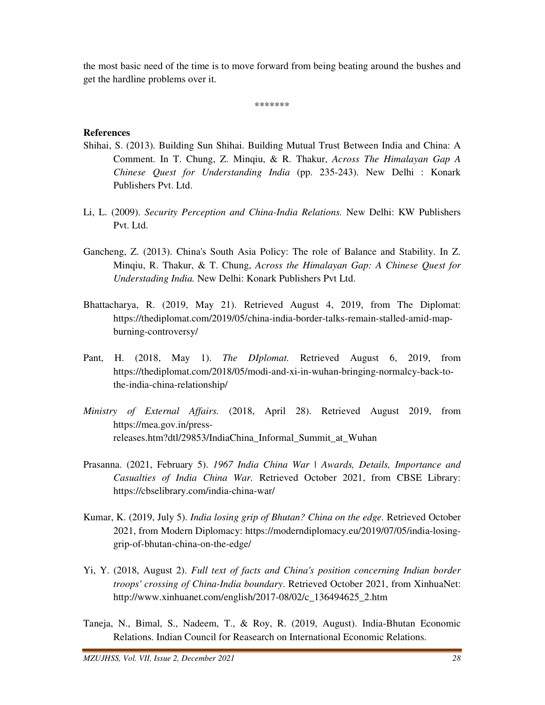the most basic need of the time is to move forward from being beating around the bushes and get the hardline problems over it.

\*\*\*\*\*\*\*

# **References**

- Shihai, S. (2013). Building Sun Shihai. Building Mutual Trust Between India and China: A Comment. In T. Chung, Z. Minqiu, & R. Thakur, *Across The Himalayan Gap A Chinese Quest for Understanding India* (pp. 235-243). New Delhi : Konark Publishers Pvt. Ltd.
- Li, L. (2009). *Security Perception and China-India Relations.* New Delhi: KW Publishers Pvt. Ltd.
- Gancheng, Z. (2013). China's South Asia Policy: The role of Balance and Stability. In Z. Minqiu, R. Thakur, & T. Chung, *Across the Himalayan Gap: A Chinese Quest for Understading India.* New Delhi: Konark Publishers Pvt Ltd.
- Bhattacharya, R. (2019, May 21). Retrieved August 4, 2019, from The Diplomat: https://thediplomat.com/2019/05/china-india-border-talks-remain-stalled-amid-mapburning-controversy/
- Pant, H. (2018, May 1). *The DIplomat.* Retrieved August 6, 2019, from https://thediplomat.com/2018/05/modi-and-xi-in-wuhan-bringing-normalcy-back-tothe-india-china-relationship/
- *Ministry of External Affairs.* (2018, April 28). Retrieved August 2019, from https://mea.gov.in/pressreleases.htm?dtl/29853/IndiaChina\_Informal\_Summit\_at\_Wuhan
- Prasanna. (2021, February 5). *1967 India China War | Awards, Details, Importance and Casualties of India China War.* Retrieved October 2021, from CBSE Library: https://cbselibrary.com/india-china-war/
- Kumar, K. (2019, July 5). *India losing grip of Bhutan? China on the edge.* Retrieved October 2021, from Modern Diplomacy: https://moderndiplomacy.eu/2019/07/05/india-losinggrip-of-bhutan-china-on-the-edge/
- Yi, Y. (2018, August 2). *Full text of facts and China's position concerning Indian border troops' crossing of China-India boundary*. Retrieved October 2021, from XinhuaNet: http://www.xinhuanet.com/english/2017-08/02/c\_136494625\_2.htm
- Taneja, N., Bimal, S., Nadeem, T., & Roy, R. (2019, August). India-Bhutan Economic Relations. Indian Council for Reasearch on International Economic Relations.